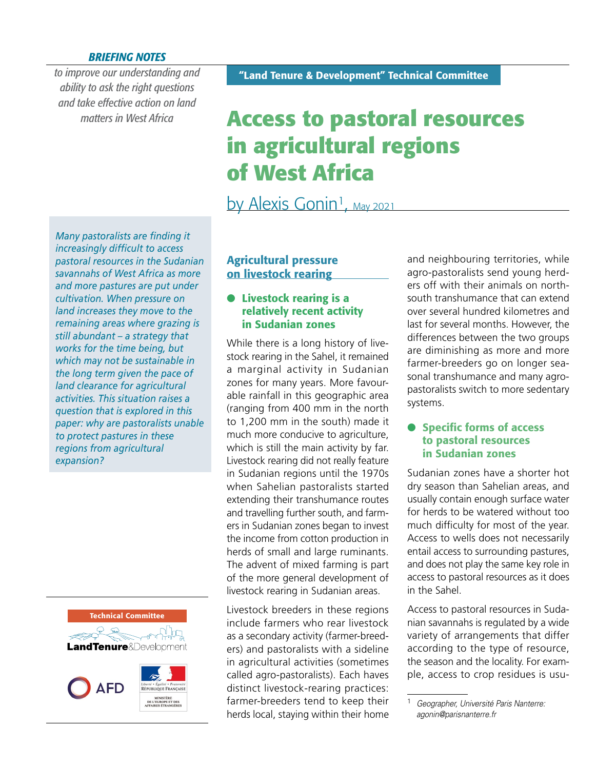#### *BRIEFING NOTES*

*to improve our understanding and ability to ask the right questions and take effective action on land matters in West Africa*

# **Access to pastoral resources in agricultural regions of West Africa**

# by Alexis Gonin<sup>1</sup>, May 2021

*Many pastoralists are finding it increasingly difficult to access pastoral resources in the Sudanian savannahs of West Africa as more and more pastures are put under cultivation. When pressure on land increases they move to the remaining areas where grazing is still abundant – a strategy that works for the time being, but which may not be sustainable in the long term given the pace of land clearance for agricultural activities. This situation raises a question that is explored in this paper: why are pastoralists unable to protect pastures in these regions from agricultural expansion?*



## Agricultural pressure on livestock rearing

#### **•** Livestock rearing is a relatively recent activity in Sudanian zones

While there is a long history of livestock rearing in the Sahel, it remained a marginal activity in Sudanian zones for many years. More favourable rainfall in this geographic area (ranging from 400 mm in the north to 1,200 mm in the south) made it much more conducive to agriculture, which is still the main activity by far. Livestock rearing did not really feature in Sudanian regions until the 1970s when Sahelian pastoralists started extending their transhumance routes and travelling further south, and farmers in Sudanian zones began to invest the income from cotton production in herds of small and large ruminants. The advent of mixed farming is part of the more general development of livestock rearing in Sudanian areas.

Livestock breeders in these regions include farmers who rear livestock as a secondary activity (farmer-breeders) and pastoralists with a sideline in agricultural activities (sometimes called agro-pastoralists). Each haves distinct livestock-rearing practices: farmer-breeders tend to keep their herds local, staying within their home and neighbouring territories, while agro-pastoralists send young herders off with their animals on northsouth transhumance that can extend over several hundred kilometres and last for several months. However, the differences between the two groups are diminishing as more and more farmer-breeders go on longer seasonal transhumance and many agropastoralists switch to more sedentary systems.

#### **Specific forms of access** to pastoral resources in Sudanian zones

Sudanian zones have a shorter hot dry season than Sahelian areas, and usually contain enough surface water for herds to be watered without too much difficulty for most of the year. Access to wells does not necessarily entail access to surrounding pastures, and does not play the same key role in access to pastoral resources as it does in the Sahel.

Access to pastoral resources in Sudanian savannahs is regulated by a wide variety of arrangements that differ according to the type of resource, the season and the locality. For example, access to crop residues is usu-

<sup>1</sup> *Geographer, Université Paris Nanterre: agonin@parisnanterre.fr*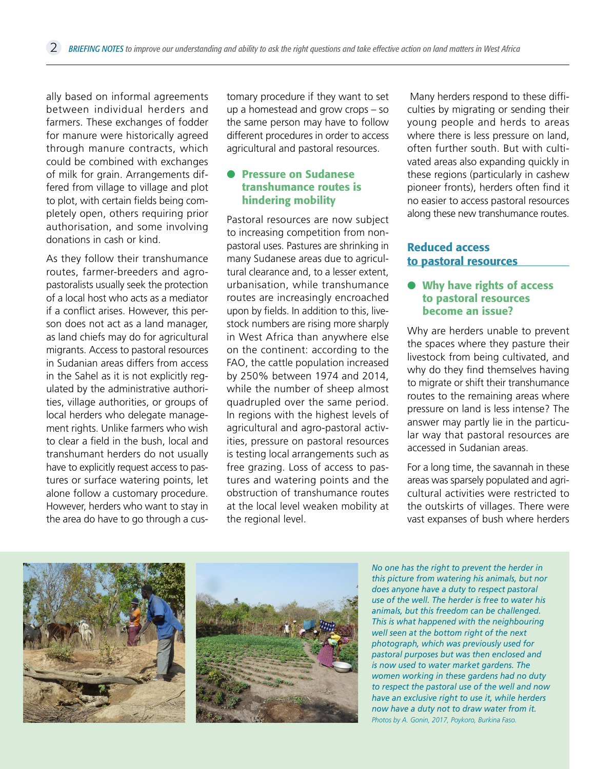ally based on informal agreements between individual herders and farmers. These exchanges of fodder for manure were historically agreed through manure contracts, which could be combined with exchanges of milk for grain. Arrangements differed from village to village and plot to plot, with certain fields being completely open, others requiring prior authorisation, and some involving donations in cash or kind.

As they follow their transhumance routes, farmer-breeders and agropastoralists usually seek the protection of a local host who acts as a mediator if a conflict arises. However, this person does not act as a land manager, as land chiefs may do for agricultural migrants. Access to pastoral resources in Sudanian areas differs from access in the Sahel as it is not explicitly regulated by the administrative authorities, village authorities, or groups of local herders who delegate management rights. Unlike farmers who wish to clear a field in the bush, local and transhumant herders do not usually have to explicitly request access to pastures or surface watering points, let alone follow a customary procedure. However, herders who want to stay in the area do have to go through a customary procedure if they want to set up a homestead and grow crops – so the same person may have to follow different procedures in order to access agricultural and pastoral resources.

#### l Pressure on Sudanese transhumance routes is hindering mobility

Pastoral resources are now subject to increasing competition from nonpastoral uses. Pastures are shrinking in many Sudanese areas due to agricultural clearance and, to a lesser extent, urbanisation, while transhumance routes are increasingly encroached upon by fields. In addition to this, livestock numbers are rising more sharply in West Africa than anywhere else on the continent: according to the FAO, the cattle population increased by 250% between 1974 and 2014, while the number of sheep almost quadrupled over the same period. In regions with the highest levels of agricultural and agro-pastoral activities, pressure on pastoral resources is testing local arrangements such as free grazing. Loss of access to pastures and watering points and the obstruction of transhumance routes at the local level weaken mobility at the regional level.

 Many herders respond to these difficulties by migrating or sending their young people and herds to areas where there is less pressure on land, often further south. But with cultivated areas also expanding quickly in these regions (particularly in cashew pioneer fronts), herders often find it no easier to access pastoral resources along these new transhumance routes.

### Reduced access to pastoral resources

#### $\bullet$  Why have rights of access to pastoral resources become an issue?

Why are herders unable to prevent the spaces where they pasture their livestock from being cultivated, and why do they find themselves having to migrate or shift their transhumance routes to the remaining areas where pressure on land is less intense? The answer may partly lie in the particular way that pastoral resources are accessed in Sudanian areas.

For a long time, the savannah in these areas was sparsely populated and agricultural activities were restricted to the outskirts of villages. There were vast expanses of bush where herders





*No one has the right to prevent the herder in this picture from watering his animals, but nor does anyone have a duty to respect pastoral use of the well. The herder is free to water his animals, but this freedom can be challenged. This is what happened with the neighbouring well seen at the bottom right of the next photograph, which was previously used for pastoral purposes but was then enclosed and is now used to water market gardens. The women working in these gardens had no duty to respect the pastoral use of the well and now have an exclusive right to use it, while herders now have a duty not to draw water from it. Photos by A. Gonin, 2017, Poykoro, Burkina Faso.*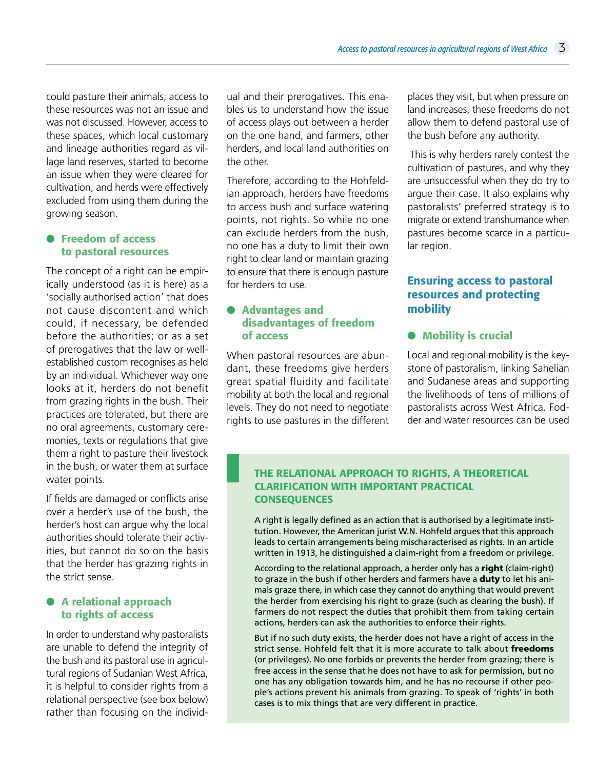could pasture their animals; access to these resources was not an issue and was not discussed. However, access to these spaces, which local customary and lineage authorities regard as village land reserves, started to become an issue when they were cleared for cultivation, and herds were effectively excluded from using them during the growing season.

#### **• Freedom of access** to pastoral resources

The concept of a right can be empirically understood (as it is here) as a 'socially authorised action' that does not cause discontent and which could, if necessary, be defended before the authorities; or as a set of prerogatives that the law or wellestablished custom recognises as held by an individual. Whichever way one looks at it, herders do not benefit from grazing rights in the bush. Their practices are tolerated, but there are no oral agreements, customary ceremonies, texts or regulations that give them a right to pasture their livestock in the bush, or water them at surface water points.

If fields are damaged or conflicts arise over a herder's use of the bush, the herder's host can argue why the local authorities should tolerate their activities, but cannot do so on the basis that the herder has grazing rights in the strict sense.

#### **•** A relational approach to rights of access

In order to understand why pastoralists are unable to defend the integrity of the bush and its pastoral use in agricultural regions of Sudanian West Africa, it is helpful to consider rights from a relational perspective (see box below) rather than focusing on the individual and their prerogatives. This enables us to understand how the issue of access plays out between a herder on the one hand, and farmers, other herders, and local land authorities on the other.

Therefore, according to the Hohfeldian approach, herders have freedoms to access bush and surface watering points, not rights. So while no one can exclude herders from the bush, no one has a duty to limit their own right to clear land or maintain grazing to ensure that there is enough pasture for herders to use.

#### $\bullet$  Advantages and disadvantages of freedom of access

When pastoral resources are abundant, these freedoms give herders great spatial fluidity and facilitate mobility at both the local and regional levels. They do not need to negotiate rights to use pastures in the different

places they visit, but when pressure on land increases, these freedoms do not allow them to defend pastoral use of the bush before any authority.

 This is why herders rarely contest the cultivation of pastures, and why they are unsuccessful when they do try to argue their case. It also explains why pastoralists' preferred strategy is to migrate or extend transhumance when pastures become scarce in a particular region.

### Ensuring access to pastoral resources and protecting mobility

#### **•** Mobility is crucial

Local and regional mobility is the keystone of pastoralism, linking Sahelian and Sudanese areas and supporting the livelihoods of tens of millions of pastoralists across West Africa. Fodder and water resources can be used

#### THE RELATIONAL APPROACH TO RIGHTS, A THEORETICAL CLARIFICATION WITH IMPORTANT PRACTICAL **CONSEQUENCES**

A right is legally defined as an action that is authorised by a legitimate institution. However, the American jurist W.N. Hohfeld argues that this approach leads to certain arrangements being mischaracterised as rights. In an article written in 1913, he distinguished a claim-right from a freedom or privilege.

According to the relational approach, a herder only has a right (claim-right) to graze in the bush if other herders and farmers have a duty to let his animals graze there, in which case they cannot do anything that would prevent the herder from exercising his right to graze (such as clearing the bush). If farmers do not respect the duties that prohibit them from taking certain actions, herders can ask the authorities to enforce their rights.

But if no such duty exists, the herder does not have a right of access in the strict sense. Hohfeld felt that it is more accurate to talk about freedoms (or privileges). No one forbids or prevents the herder from grazing; there is free access in the sense that he does not have to ask for permission, but no one has any obligation towards him, and he has no recourse if other people's actions prevent his animals from grazing. To speak of 'rights' in both cases is to mix things that are very different in practice.